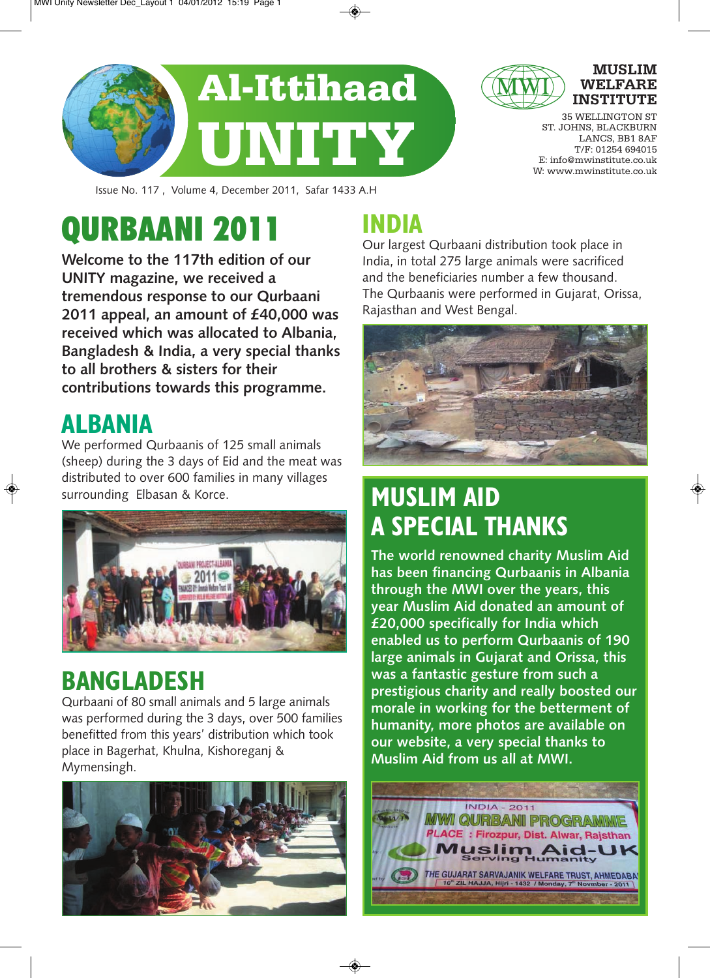

**MUSLIM WELFARE INSTITUTE**

35 WELLINGTON ST ST. JOHNS, BLACKBURN LANCS, BB1 8AF T/F: 01254 694015 E: info@mwinstitute.co.uk W: www.mwinstitute.co.uk

Issue No. 117 , Volume 4, December 2011, Safar 1433 A.H

# QURBAANI 2011

**Welcome to the 117th edition of our UNITY magazine, we received a tremendous response to our Qurbaani 2011 appeal, an amount of £40,000 was received which was allocated to Albania, Bangladesh & India, a very special thanks to all brothers & sisters for their contributions towards this programme.**

## **ALBANIA**

We performed Qurbaanis of 125 small animals (sheep) during the 3 days of Eid and the meat was distributed to over 600 families in many villages surrounding Elbasan & Korce.



## **BANGLADESH**

Qurbaani of 80 small animals and 5 large animals was performed during the 3 days, over 500 families benefitted from this years' distribution which took place in Bagerhat, Khulna, Kishoreganj & Mymensingh.



## **INDIA**

Our largest Qurbaani distribution took place in India, in total 275 large animals were sacrificed and the beneficiaries number a few thousand. The Qurbaanis were performed in Gujarat, Orissa, Rajasthan and West Bengal.



## **MUSLIM AID A SPECIAL THANKS**

**The world renowned charity Muslim Aid has been financing Qurbaanis in Albania through the MWI over the years, this year Muslim Aid donated an amount of £20,000 specifically for India which enabled us to perform Qurbaanis of 190 large animals in Gujarat and Orissa, this was a fantastic gesture from such a prestigious charity and really boosted our morale in working for the betterment of humanity, more photos are available on our website, a very special thanks to Muslim Aid from us all at MWI.**

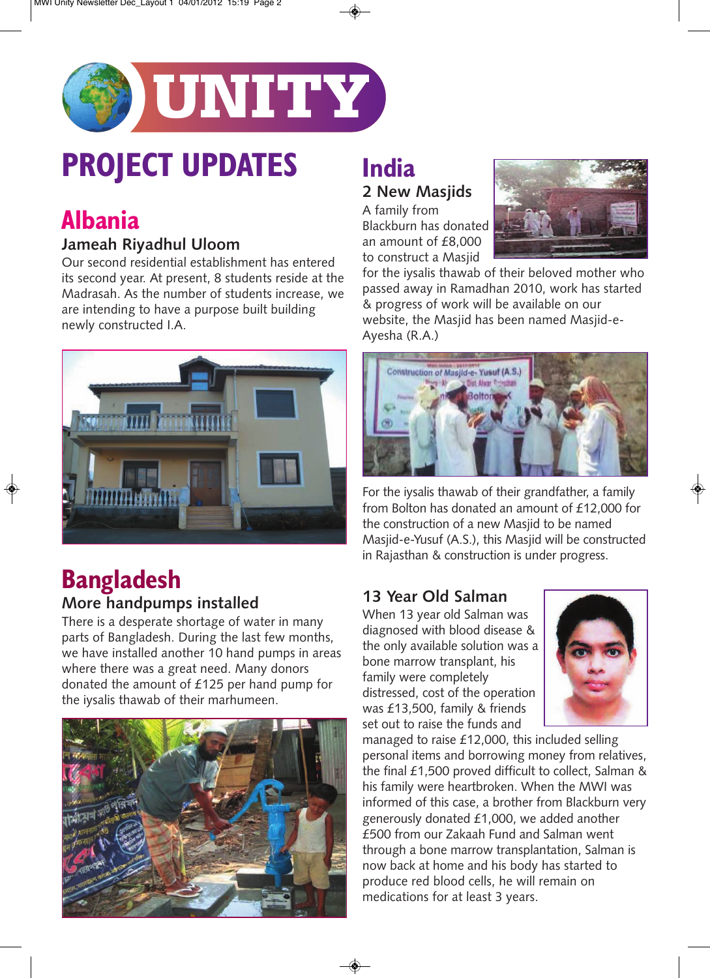

# **PROJECT UPDATES**

## **Albania**

#### **Jameah Riyadhul Uloom**

Our second residential establishment has entered its second year. At present, 8 students reside at the Madrasah. As the number of students increase, we are intending to have a purpose built building newly constructed I.A.



#### **Bangladesh More handpumps installed**

There is a desperate shortage of water in many parts of Bangladesh. During the last few months, we have installed another 10 hand pumps in areas where there was a great need. Many donors donated the amount of £125 per hand pump for the iysalis thawab of their marhumeen.



### **India**

#### **2 New Masjids**

A family from Blackburn has donated an amount of £8,000 to construct a Masjid



for the iysalis thawab of their beloved mother who passed away in Ramadhan 2010, work has started & progress of work will be available on our website, the Masjid has been named Masjid-e-Ayesha (R.A.)



For the iysalis thawab of their grandfather, a family from Bolton has donated an amount of £12,000 for the construction of a new Masjid to be named Masjid-e-Yusuf (A.S.), this Masjid will be constructed in Rajasthan & construction is under progress.

#### **13 Year Old Salman**

When 13 year old Salman was diagnosed with blood disease & the only available solution was a bone marrow transplant, his family were completely distressed, cost of the operation was £13,500, family & friends set out to raise the funds and



managed to raise £12,000, this included selling personal items and borrowing money from relatives, the final £1,500 proved difficult to collect, Salman & his family were heartbroken. When the MWI was informed of this case, a brother from Blackburn very generously donated £1,000, we added another £500 from our Zakaah Fund and Salman went through a bone marrow transplantation, Salman is now back at home and his body has started to produce red blood cells, he will remain on medications for at least 3 years.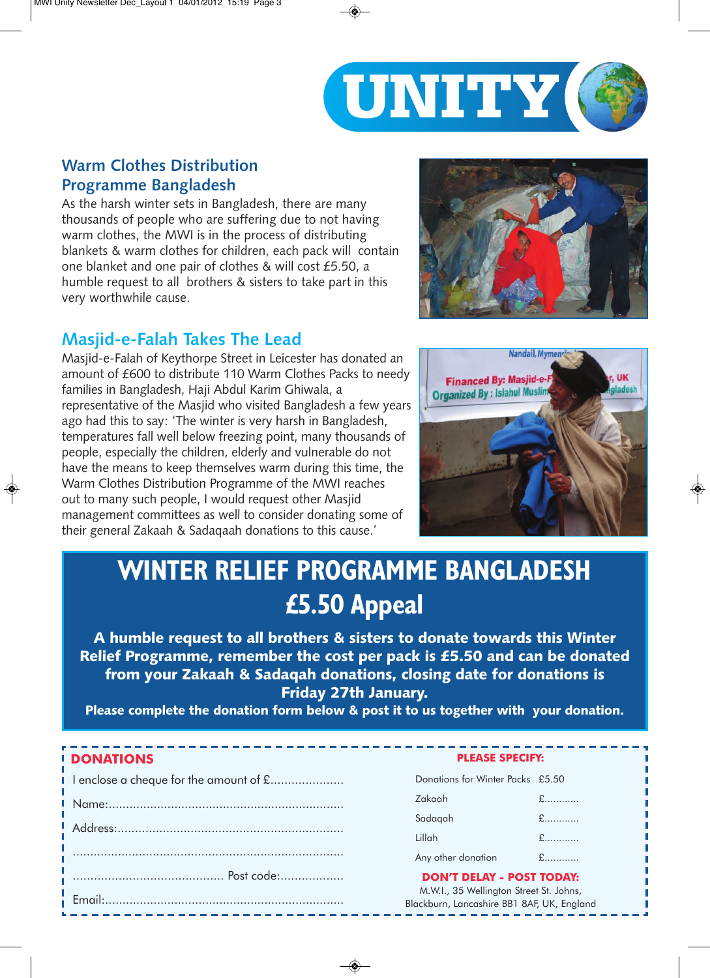

#### **Warm Clothes Distribution Programme Bangladesh**

As the harsh winter sets in Bangladesh, there are many thousands of people who are suffering due to not having warm clothes, the MWI is in the process of distributing blankets & warm clothes for children, each pack will contain one blanket and one pair of clothes & will cost £5.50, a humble request to all brothers & sisters to take part in this very worthwhile cause.

#### **Masjid-e-Falah Takes The Lead**

Masjid-e-Falah of Keythorpe Street in Leicester has donated an amount of £600 to distribute 110 Warm Clothes Packs to needy families in Bangladesh, Haji Abdul Karim Ghiwala, a representative of the Masjid who visited Bangladesh a few years ago had this to say: 'The winter is very harsh in Bangladesh, temperatures fall well below freezing point, many thousands of people, especially the children, elderly and vulnerable do not have the means to keep themselves warm during this time, the Warm Clothes Distribution Programme of the MWI reaches out to many such people, I would request other Masjid management committees as well to consider donating some of their general Zakaah & Sadaqaah donations to this cause.'





## **WINTER RELIEF PROGRAMME BANGLADESH £5.50 Appeal**

A humble request to all brothers & sisters to donate towards this Winter Relief Programme, remember the cost per pack is £5.50 and can be donated from your Zakaah & Sadaqah donations, closing date for donations is Friday 27th January.

Please complete the donation form below & post it to us together with your donation.

#### **DONATIONS PLEASE SPECIFY:**

| I enclose a cheque for the amount of £ |  |
|----------------------------------------|--|
|                                        |  |
|                                        |  |
|                                        |  |
|                                        |  |
|                                        |  |

| Donations for Winter Packs £5.50 |                               |
|----------------------------------|-------------------------------|
| Zakaah                           | $f$                           |
| Sadagah                          |                               |
| Lillah                           | $f$                           |
| Any other donation               | $\mathbf{f}$ and $\mathbf{f}$ |
|                                  |                               |

**DON'T DELAY - POST TODAY:**

M.W.I., 35 Wellington Street St. Johns, Blackburn, Lancashire BB1 8AF, UK, England